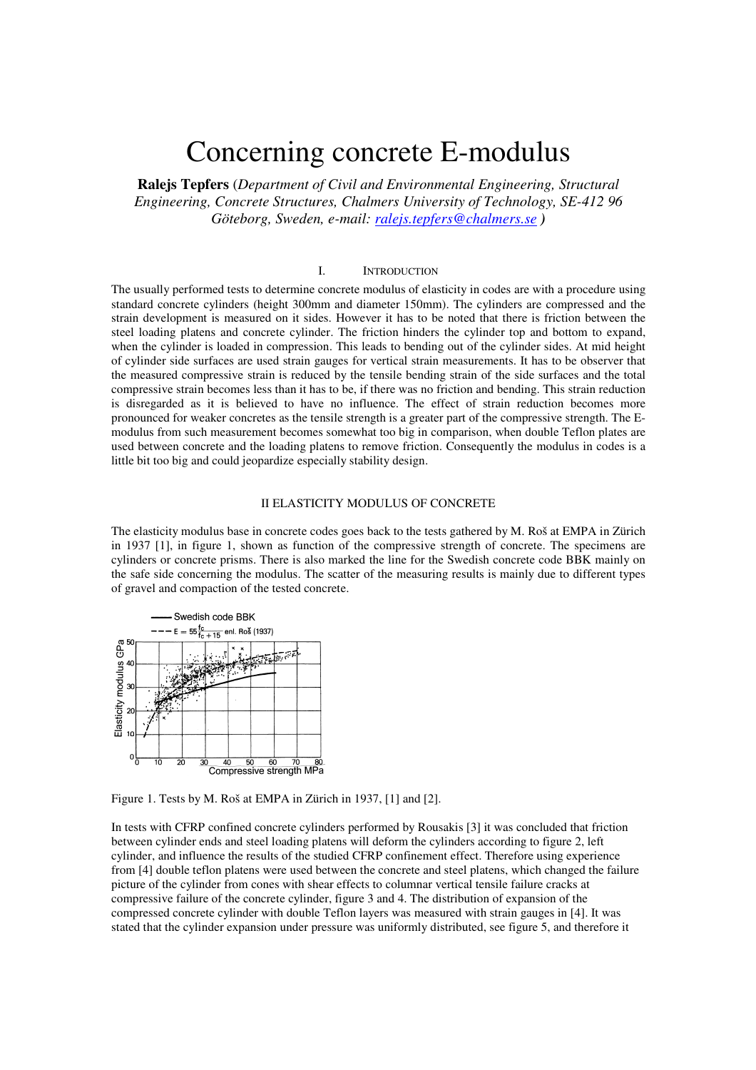# Concerning concrete E-modulus

**Ralejs Tepfers** (*Department of Civil and Environmental Engineering, Structural Engineering, Concrete Structures, Chalmers University of Technology, SE-412 96 Göteborg, Sweden, e-mail: ralejs.tepfers@chalmers.se )* 

### I. INTRODUCTION

The usually performed tests to determine concrete modulus of elasticity in codes are with a procedure using standard concrete cylinders (height 300mm and diameter 150mm). The cylinders are compressed and the strain development is measured on it sides. However it has to be noted that there is friction between the steel loading platens and concrete cylinder. The friction hinders the cylinder top and bottom to expand, when the cylinder is loaded in compression. This leads to bending out of the cylinder sides. At mid height of cylinder side surfaces are used strain gauges for vertical strain measurements. It has to be observer that the measured compressive strain is reduced by the tensile bending strain of the side surfaces and the total compressive strain becomes less than it has to be, if there was no friction and bending. This strain reduction is disregarded as it is believed to have no influence. The effect of strain reduction becomes more pronounced for weaker concretes as the tensile strength is a greater part of the compressive strength. The Emodulus from such measurement becomes somewhat too big in comparison, when double Teflon plates are used between concrete and the loading platens to remove friction. Consequently the modulus in codes is a little bit too big and could jeopardize especially stability design.

# II ELASTICITY MODULUS OF CONCRETE

The elasticity modulus base in concrete codes goes back to the tests gathered by M. Roš at EMPA in Zürich in 1937 [1], in figure 1, shown as function of the compressive strength of concrete. The specimens are cylinders or concrete prisms. There is also marked the line for the Swedish concrete code BBK mainly on the safe side concerning the modulus. The scatter of the measuring results is mainly due to different types of gravel and compaction of the tested concrete.



Figure 1. Tests by M. Roš at EMPA in Zürich in 1937, [1] and [2].

In tests with CFRP confined concrete cylinders performed by Rousakis [3] it was concluded that friction between cylinder ends and steel loading platens will deform the cylinders according to figure 2, left cylinder, and influence the results of the studied CFRP confinement effect. Therefore using experience from [4] double teflon platens were used between the concrete and steel platens, which changed the failure picture of the cylinder from cones with shear effects to columnar vertical tensile failure cracks at compressive failure of the concrete cylinder, figure 3 and 4. The distribution of expansion of the compressed concrete cylinder with double Teflon layers was measured with strain gauges in [4]. It was stated that the cylinder expansion under pressure was uniformly distributed, see figure 5, and therefore it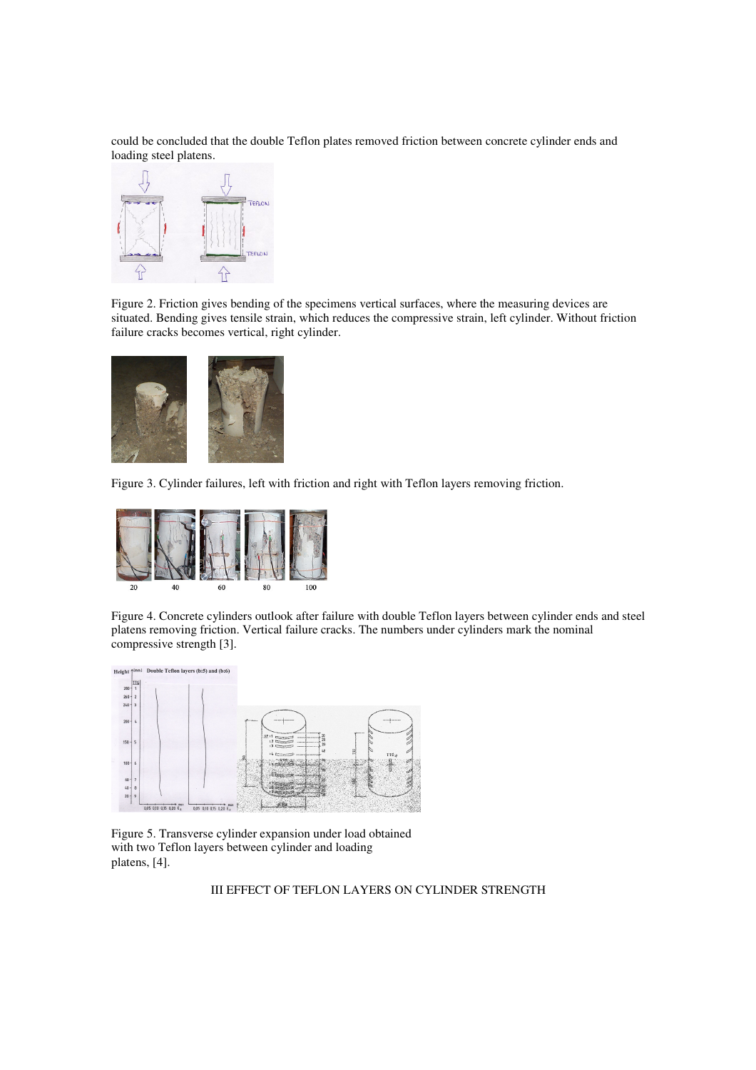could be concluded that the double Teflon plates removed friction between concrete cylinder ends and loading steel platens.



Figure 2. Friction gives bending of the specimens vertical surfaces, where the measuring devices are situated. Bending gives tensile strain, which reduces the compressive strain, left cylinder. Without friction failure cracks becomes vertical, right cylinder.



Figure 3. Cylinder failures, left with friction and right with Teflon layers removing friction.



Figure 4. Concrete cylinders outlook after failure with double Teflon layers between cylinder ends and steel platens removing friction. Vertical failure cracks. The numbers under cylinders mark the nominal compressive strength [3].



Figure 5. Transverse cylinder expansion under load obtained with two Teflon layers between cylinder and loading platens, [4].

III EFFECT OF TEFLON LAYERS ON CYLINDER STRENGTH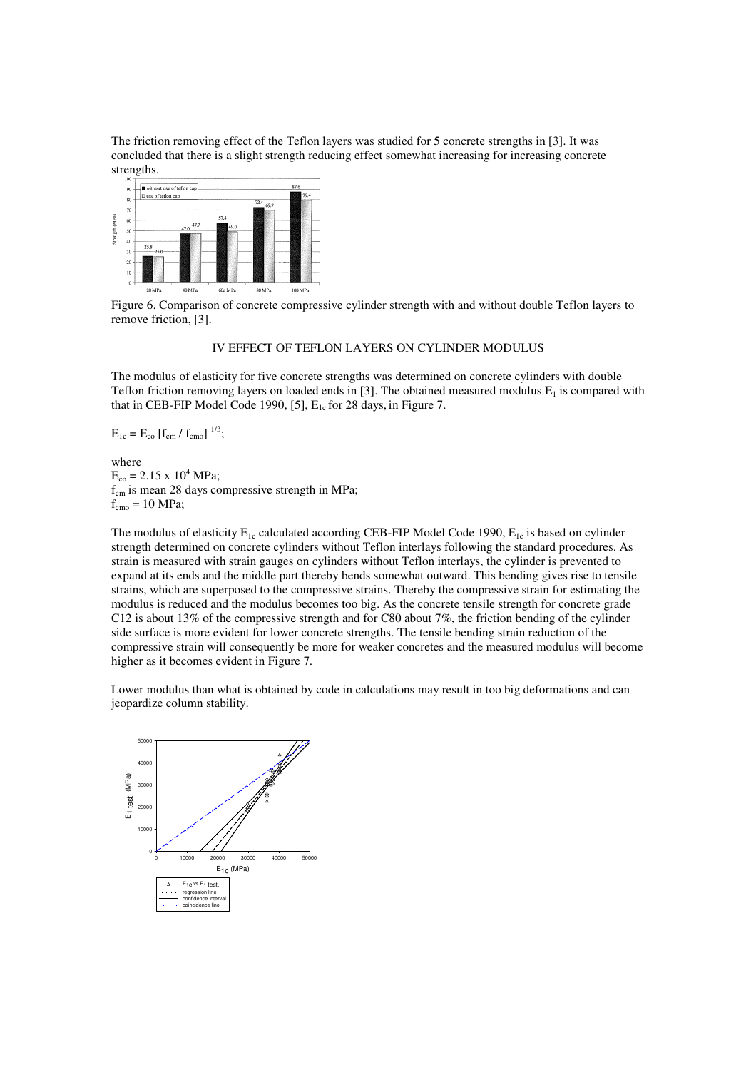The friction removing effect of the Teflon layers was studied for 5 concrete strengths in [3]. It was concluded that there is a slight strength reducing effect somewhat increasing for increasing concrete strengths.



Figure 6. Comparison of concrete compressive cylinder strength with and without double Teflon layers to remove friction, [3].

# IV EFFECT OF TEFLON LAYERS ON CYLINDER MODULUS

The modulus of elasticity for five concrete strengths was determined on concrete cylinders with double Teflon friction removing layers on loaded ends in [3]. The obtained measured modulus  $E_1$  is compared with that in CEB-FIP Model Code 1990, [5],  $E_{1c}$  for 28 days, in Figure 7.

 $E_{1c} = E_{co} [f_{cm} / f_{cm} ]^{1/3};$ 

where  $E_{\text{co}} = 2.15 \times 10^4 \text{ MPa};$  $f_{cm}$  is mean 28 days compressive strength in MPa;  $f_{\text{cmo}} = 10 \text{ MPa};$ 

The modulus of elasticity  $E_{1c}$  calculated according CEB-FIP Model Code 1990,  $E_{1c}$  is based on cylinder strength determined on concrete cylinders without Teflon interlays following the standard procedures. As strain is measured with strain gauges on cylinders without Teflon interlays, the cylinder is prevented to expand at its ends and the middle part thereby bends somewhat outward. This bending gives rise to tensile strains, which are superposed to the compressive strains. Thereby the compressive strain for estimating the modulus is reduced and the modulus becomes too big. As the concrete tensile strength for concrete grade C12 is about 13% of the compressive strength and for C80 about 7%, the friction bending of the cylinder side surface is more evident for lower concrete strengths. The tensile bending strain reduction of the compressive strain will consequently be more for weaker concretes and the measured modulus will become higher as it becomes evident in Figure 7.

Lower modulus than what is obtained by code in calculations may result in too big deformations and can jeopardize column stability.